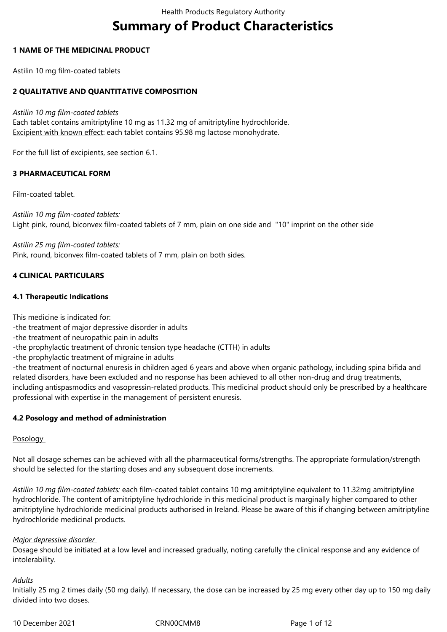# **Summary of Product Characteristics**

## **1 NAME OF THE MEDICINAL PRODUCT**

Astilin 10 mg film-coated tablets

# **2 QUALITATIVE AND QUANTITATIVE COMPOSITION**

*Astilin 10 mg film-coated tablets*

Each tablet contains amitriptyline 10 mg as 11.32 mg of amitriptyline hydrochloride. Excipient with known effect: each tablet contains 95.98 mg lactose monohydrate.

For the full list of excipients, see section 6.1.

# **3 PHARMACEUTICAL FORM**

Film-coated tablet.

*Astilin 10 mg film-coated tablets:* Light pink, round, biconvex film-coated tablets of 7 mm, plain on one side and "10" imprint on the other side

*Astilin 25 mg film-coated tablets:* Pink, round, biconvex film-coated tablets of 7 mm, plain on both sides.

# **4 CLINICAL PARTICULARS**

# **4.1 Therapeutic Indications**

This medicine is indicated for:

- -the treatment of major depressive disorder in adults
- -the treatment of neuropathic pain in adults
- -the prophylactic treatment of chronic tension type headache (CTTH) in adults

-the prophylactic treatment of migraine in adults

-the treatment of nocturnal enuresis in children aged 6 years and above when organic pathology, including spina bifida and related disorders, have been excluded and no response has been achieved to all other non-drug and drug treatments, including antispasmodics and vasopressin-related products. This medicinal product should only be prescribed by a healthcare professional with expertise in the management of persistent enuresis.

# **4.2 Posology and method of administration**

## Posology

Not all dosage schemes can be achieved with all the pharmaceutical forms/strengths. The appropriate formulation/strength should be selected for the starting doses and any subsequent dose increments.

*Astilin 10 mg film-coated tablets:* each film-coated tablet contains 10 mg amitriptyline equivalent to 11.32mg amitriptyline hydrochloride. The content of amitriptyline hydrochloride in this medicinal product is marginally higher compared to other amitriptyline hydrochloride medicinal products authorised in Ireland. Please be aware of this if changing between amitriptyline hydrochloride medicinal products.

## *Major depressive disorder*

Dosage should be initiated at a low level and increased gradually, noting carefully the clinical response and any evidence of intolerability.

# *Adults*

Initially 25 mg 2 times daily (50 mg daily). If necessary, the dose can be increased by 25 mg every other day up to 150 mg daily divided into two doses.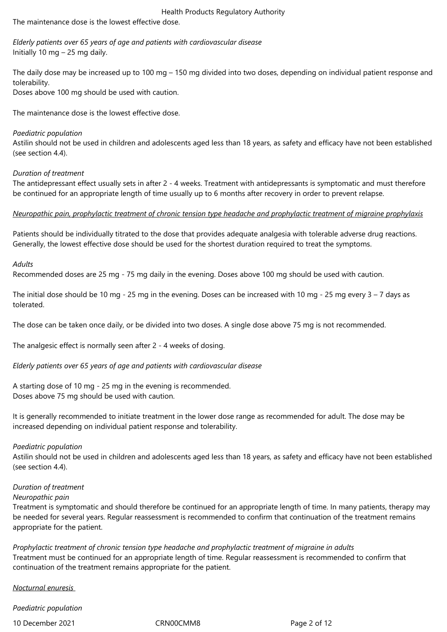The maintenance dose is the lowest effective dose.

*Elderly patients over 65 years of age and patients with cardiovascular disease*  Initially 10 mg – 25 mg daily.

The daily dose may be increased up to 100 mg – 150 mg divided into two doses, depending on individual patient response and tolerability.

Doses above 100 mg should be used with caution.

The maintenance dose is the lowest effective dose.

## *Paediatric population*

Astilin should not be used in children and adolescents aged less than 18 years, as safety and efficacy have not been established (see section 4.4).

## *Duration of treatment*

The antidepressant effect usually sets in after 2 - 4 weeks. Treatment with antidepressants is symptomatic and must therefore be continued for an appropriate length of time usually up to 6 months after recovery in order to prevent relapse.

## *Neuropathic pain, prophylactic treatment of chronic tension type headache and prophylactic treatment of migraine prophylaxis*

Patients should be individually titrated to the dose that provides adequate analgesia with tolerable adverse drug reactions. Generally, the lowest effective dose should be used for the shortest duration required to treat the symptoms.

## *Adults*

Recommended doses are 25 mg - 75 mg daily in the evening. Doses above 100 mg should be used with caution.

The initial dose should be 10 mg - 25 mg in the evening. Doses can be increased with 10 mg - 25 mg every  $3 - 7$  days as tolerated.

The dose can be taken once daily, or be divided into two doses. A single dose above 75 mg is not recommended.

The analgesic effect is normally seen after 2 - 4 weeks of dosing.

*Elderly patients over 65 years of age and patients with cardiovascular disease* 

A starting dose of 10 mg - 25 mg in the evening is recommended. Doses above 75 mg should be used with caution.

It is generally recommended to initiate treatment in the lower dose range as recommended for adult. The dose may be increased depending on individual patient response and tolerability.

## *Paediatric population*

Astilin should not be used in children and adolescents aged less than 18 years, as safety and efficacy have not been established (see section 4.4).

## *Duration of treatment*

## *Neuropathic pain*

Treatment is symptomatic and should therefore be continued for an appropriate length of time. In many patients, therapy may be needed for several years. Regular reassessment is recommended to confirm that continuation of the treatment remains appropriate for the patient.

*Prophylactic treatment of chronic tension type headache and prophylactic treatment of migraine in adults*  Treatment must be continued for an appropriate length of time. Regular reassessment is recommended to confirm that continuation of the treatment remains appropriate for the patient.

*Nocturnal enuresis* 

*Paediatric population* 

10 December 2021 CRN00CMM8 Page 2 of 12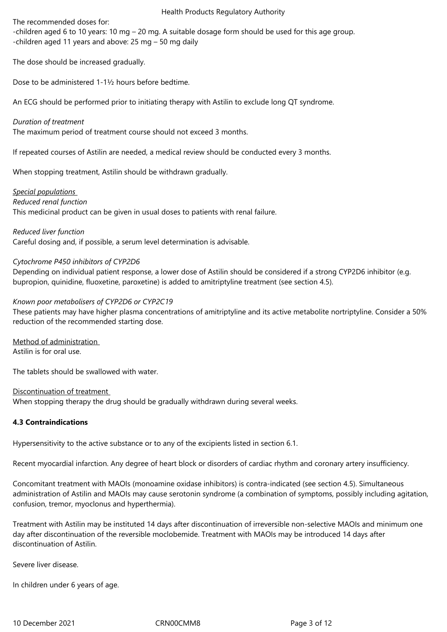The recommended doses for:

-children aged 6 to 10 years: 10 mg – 20 mg. A suitable dosage form should be used for this age group. -children aged 11 years and above: 25 mg – 50 mg daily

The dose should be increased gradually.

Dose to be administered 1-1½ hours before bedtime.

An ECG should be performed prior to initiating therapy with Astilin to exclude long QT syndrome.

*Duration of treatment* 

The maximum period of treatment course should not exceed 3 months.

If repeated courses of Astilin are needed, a medical review should be conducted every 3 months.

When stopping treatment, Astilin should be withdrawn gradually.

*Special populations Reduced renal function* 

This medicinal product can be given in usual doses to patients with renal failure.

*Reduced liver function* 

Careful dosing and, if possible, a serum level determination is advisable.

## *Cytochrome P450 inhibitors of CYP2D6*

Depending on individual patient response, a lower dose of Astilin should be considered if a strong CYP2D6 inhibitor (e.g. bupropion, quinidine, fluoxetine, paroxetine) is added to amitriptyline treatment (see section 4.5).

## *Known poor metabolisers of CYP2D6 or CYP2C19*

These patients may have higher plasma concentrations of amitriptyline and its active metabolite nortriptyline. Consider a 50% reduction of the recommended starting dose.

Method of administration Astilin is for oral use.

The tablets should be swallowed with water.

Discontinuation of treatment When stopping therapy the drug should be gradually withdrawn during several weeks.

# **4.3 Contraindications**

Hypersensitivity to the active substance or to any of the excipients listed in section 6.1.

Recent myocardial infarction. Any degree of heart block or disorders of cardiac rhythm and coronary artery insufficiency.

Concomitant treatment with MAOIs (monoamine oxidase inhibitors) is contra-indicated (see section 4.5). Simultaneous administration of Astilin and MAOIs may cause serotonin syndrome (a combination of symptoms, possibly including agitation, confusion, tremor, myoclonus and hyperthermia).

Treatment with Astilin may be instituted 14 days after discontinuation of irreversible non-selective MAOIs and minimum one day after discontinuation of the reversible moclobemide. Treatment with MAOIs may be introduced 14 days after discontinuation of Astilin.

Severe liver disease.

In children under 6 years of age.

10 December 2021 CRN00CMM8 Page 3 of 12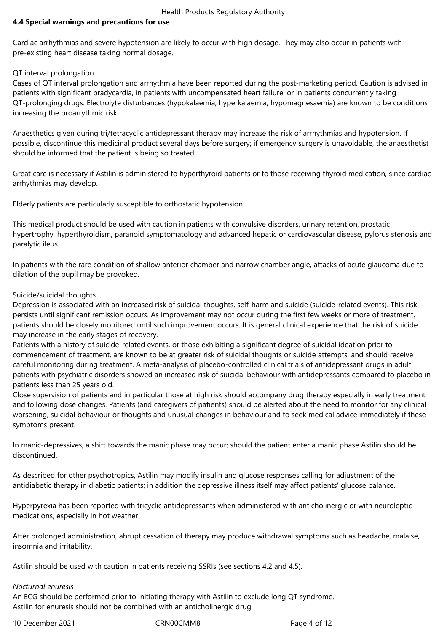## **4.4 Special warnings and precautions for use**

Cardiac arrhythmias and severe hypotension are likely to occur with high dosage. They may also occur in patients with pre-existing heart disease taking normal dosage.

#### QT interval prolongation

Cases of QT interval prolongation and arrhythmia have been reported during the post-marketing period. Caution is advised in patients with significant bradycardia, in patients with uncompensated heart failure, or in patients concurrently taking QT-prolonging drugs. Electrolyte disturbances (hypokalaemia, hyperkalaemia, hypomagnesaemia) are known to be conditions increasing the proarrythmic risk.

Anaesthetics given during tri/tetracyclic antidepressant therapy may increase the risk of arrhythmias and hypotension. If possible, discontinue this medicinal product several days before surgery; if emergency surgery is unavoidable, the anaesthetist should be informed that the patient is being so treated.

Great care is necessary if Astilin is administered to hyperthyroid patients or to those receiving thyroid medication, since cardiac arrhythmias may develop.

Elderly patients are particularly susceptible to orthostatic hypotension.

This medical product should be used with caution in patients with convulsive disorders, urinary retention, prostatic hypertrophy, hyperthyroidism, paranoid symptomatology and advanced hepatic or cardiovascular disease, pylorus stenosis and paralytic ileus.

In patients with the rare condition of shallow anterior chamber and narrow chamber angle, attacks of acute glaucoma due to dilation of the pupil may be provoked.

## Suicide/suicidal thoughts

Depression is associated with an increased risk of suicidal thoughts, self-harm and suicide (suicide-related events). This risk persists until significant remission occurs. As improvement may not occur during the first few weeks or more of treatment, patients should be closely monitored until such improvement occurs. It is general clinical experience that the risk of suicide may increase in the early stages of recovery.

Patients with a history of suicide-related events, or those exhibiting a significant degree of suicidal ideation prior to commencement of treatment, are known to be at greater risk of suicidal thoughts or suicide attempts, and should receive careful monitoring during treatment. A meta-analysis of placebo-controlled clinical trials of antidepressant drugs in adult patients with psychiatric disorders showed an increased risk of suicidal behaviour with antidepressants compared to placebo in patients less than 25 years old.

Close supervision of patients and in particular those at high risk should accompany drug therapy especially in early treatment and following dose changes. Patients (and caregivers of patients) should be alerted about the need to monitor for any clinical worsening, suicidal behaviour or thoughts and unusual changes in behaviour and to seek medical advice immediately if these symptoms present.

In manic-depressives, a shift towards the manic phase may occur; should the patient enter a manic phase Astilin should be discontinued.

As described for other psychotropics, Astilin may modify insulin and glucose responses calling for adjustment of the antidiabetic therapy in diabetic patients; in addition the depressive illness itself may affect patients' glucose balance.

Hyperpyrexia has been reported with tricyclic antidepressants when administered with anticholinergic or with neuroleptic medications, especially in hot weather.

After prolonged administration, abrupt cessation of therapy may produce withdrawal symptoms such as headache, malaise, insomnia and irritability.

Astilin should be used with caution in patients receiving SSRIs (see sections 4.2 and 4.5).

## *Nocturnal enuresis*

An ECG should be performed prior to initiating therapy with Astilin to exclude long QT syndrome. Astilin for enuresis should not be combined with an anticholinergic drug.

10 December 2021 CRN00CMM8 Page 4 of 12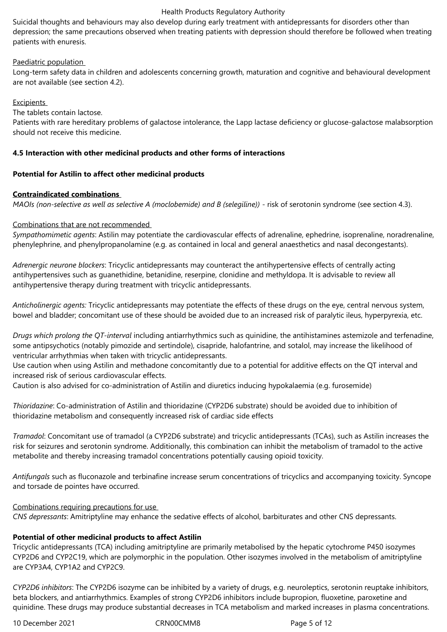Suicidal thoughts and behaviours may also develop during early treatment with antidepressants for disorders other than depression; the same precautions observed when treating patients with depression should therefore be followed when treating patients with enuresis.

## Paediatric population

Long-term safety data in children and adolescents concerning growth, maturation and cognitive and behavioural development are not available (see section 4.2).

## **Excipients**

The tablets contain lactose.

Patients with rare hereditary problems of galactose intolerance, the Lapp lactase deficiency or glucose-galactose malabsorption should not receive this medicine.

## **4.5 Interaction with other medicinal products and other forms of interactions**

## **Potential for Astilin to affect other medicinal products**

## **Contraindicated combinations**

*MAOIs (non-selective as well as selective A (moclobemide) and B (selegiline))* - risk of serotonin syndrome (see section 4.3).

## Combinations that are not recommended

*Sympathomimetic agents*: Astilin may potentiate the cardiovascular effects of adrenaline, ephedrine, isoprenaline, noradrenaline, phenylephrine, and phenylpropanolamine (e.g. as contained in local and general anaesthetics and nasal decongestants).

*Adrenergic neurone blockers*: Tricyclic antidepressants may counteract the antihypertensive effects of centrally acting antihypertensives such as guanethidine, betanidine, reserpine, clonidine and methyldopa. It is advisable to review all antihypertensive therapy during treatment with tricyclic antidepressants.

*Anticholinergic agents:* Tricyclic antidepressants may potentiate the effects of these drugs on the eye, central nervous system, bowel and bladder; concomitant use of these should be avoided due to an increased risk of paralytic ileus, hyperpyrexia, etc.

*Drugs which prolong the QT-interval* including antiarrhythmics such as quinidine, the antihistamines astemizole and terfenadine, some antipsychotics (notably pimozide and sertindole), cisapride, halofantrine, and sotalol, may increase the likelihood of ventricular arrhythmias when taken with tricyclic antidepressants.

Use caution when using Astilin and methadone concomitantly due to a potential for additive effects on the QT interval and increased risk of serious cardiovascular effects.

Caution is also advised for co-administration of Astilin and diuretics inducing hypokalaemia (e.g. furosemide)

*Thioridazine*: Co-administration of Astilin and thioridazine (CYP2D6 substrate) should be avoided due to inhibition of thioridazine metabolism and consequently increased risk of cardiac side effects

*Tramadol*: Concomitant use of tramadol (a CYP2D6 substrate) and tricyclic antidepressants (TCAs), such as Astilin increases the risk for seizures and serotonin syndrome. Additionally, this combination can inhibit the metabolism of tramadol to the active metabolite and thereby increasing tramadol concentrations potentially causing opioid toxicity.

*Antifungals* such as fluconazole and terbinafine increase serum concentrations of tricyclics and accompanying toxicity. Syncope and torsade de pointes have occurred.

## Combinations requiring precautions for use

*CNS depressants*: Amitriptyline may enhance the sedative effects of alcohol, barbiturates and other CNS depressants.

# **Potential of other medicinal products to affect Astilin**

Tricyclic antidepressants (TCA) including amitriptyline are primarily metabolised by the hepatic cytochrome P450 isozymes CYP2D6 and CYP2C19, which are polymorphic in the population. Other isozymes involved in the metabolism of amitriptyline are CYP3A4, CYP1A2 and CYP2C9.

*CYP2D6 inhibitors*: The CYP2D6 isozyme can be inhibited by a variety of drugs, e.g. neuroleptics, serotonin reuptake inhibitors, beta blockers, and antiarrhythmics. Examples of strong CYP2D6 inhibitors include bupropion, fluoxetine, paroxetine and quinidine. These drugs may produce substantial decreases in TCA metabolism and marked increases in plasma concentrations.

10 December 2021 CRN00CMM8 Page 5 of 12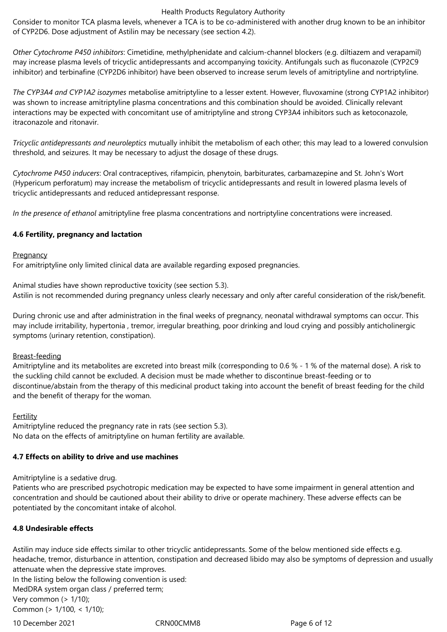Consider to monitor TCA plasma levels, whenever a TCA is to be co-administered with another drug known to be an inhibitor of CYP2D6. Dose adjustment of Astilin may be necessary (see section 4.2).

*Other Cytochrome P450 inhibitors*: Cimetidine, methylphenidate and calcium-channel blockers (e.g. diltiazem and verapamil) may increase plasma levels of tricyclic antidepressants and accompanying toxicity. Antifungals such as fluconazole (CYP2C9 inhibitor) and terbinafine (CYP2D6 inhibitor) have been observed to increase serum levels of amitriptyline and nortriptyline.

*The CYP3A4 and CYP1A2 isozymes* metabolise amitriptyline to a lesser extent. However, fluvoxamine (strong CYP1A2 inhibitor) was shown to increase amitriptyline plasma concentrations and this combination should be avoided. Clinically relevant interactions may be expected with concomitant use of amitriptyline and strong CYP3A4 inhibitors such as ketoconazole, itraconazole and ritonavir.

*Tricyclic antidepressants and neuroleptics* mutually inhibit the metabolism of each other; this may lead to a lowered convulsion threshold, and seizures. It may be necessary to adjust the dosage of these drugs.

*Cytochrome P450 inducers*: Oral contraceptives, rifampicin, phenytoin, barbiturates, carbamazepine and St. John's Wort (Hypericum perforatum) may increase the metabolism of tricyclic antidepressants and result in lowered plasma levels of tricyclic antidepressants and reduced antidepressant response.

*In the presence of ethanol* amitriptyline free plasma concentrations and nortriptyline concentrations were increased.

## **4.6 Fertility, pregnancy and lactation**

#### **Pregnancy**

For amitriptyline only limited clinical data are available regarding exposed pregnancies.

Animal studies have shown reproductive toxicity (see section 5.3). Astilin is not recommended during pregnancy unless clearly necessary and only after careful consideration of the risk/benefit.

During chronic use and after administration in the final weeks of pregnancy, neonatal withdrawal symptoms can occur. This may include irritability, hypertonia , tremor, irregular breathing, poor drinking and loud crying and possibly anticholinergic symptoms (urinary retention, constipation).

## Breast-feeding

Amitriptyline and its metabolites are excreted into breast milk (corresponding to 0.6 % - 1 % of the maternal dose). A risk to the suckling child cannot be excluded. A decision must be made whether to discontinue breast-feeding or to discontinue/abstain from the therapy of this medicinal product taking into account the benefit of breast feeding for the child and the benefit of therapy for the woman.

## Fertility

Amitriptyline reduced the pregnancy rate in rats (see section 5.3). No data on the effects of amitriptyline on human fertility are available.

# **4.7 Effects on ability to drive and use machines**

Amitriptyline is a sedative drug.

Patients who are prescribed psychotropic medication may be expected to have some impairment in general attention and concentration and should be cautioned about their ability to drive or operate machinery. These adverse effects can be potentiated by the concomitant intake of alcohol.

# **4.8 Undesirable effects**

Astilin may induce side effects similar to other tricyclic antidepressants. Some of the below mentioned side effects e.g. headache, tremor, disturbance in attention, constipation and decreased libido may also be symptoms of depression and usually attenuate when the depressive state improves.

In the listing below the following convention is used: MedDRA system organ class / preferred term; Very common  $($  >  $1/10$ );

Common (> 1/100, < 1/10);

10 December 2021 CRN00CMM8 Page 6 of 12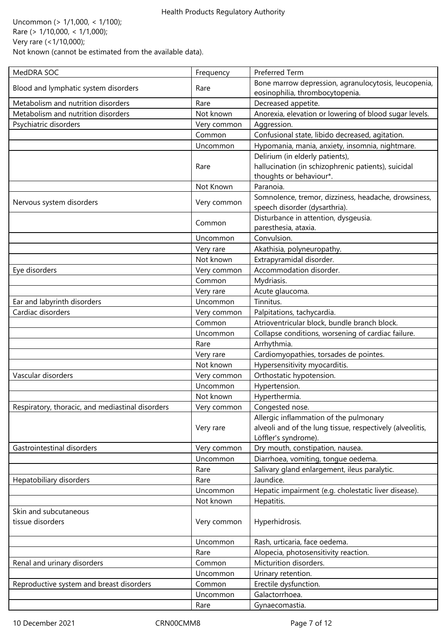Uncommon (> 1/1,000, < 1/100); Rare (> 1/10,000, < 1/1,000); Very rare (<1/10,000); Not known (cannot be estimated from the available data).

| MedDRA SOC                                       | Frequency   | <b>Preferred Term</b>                                                                                                       |
|--------------------------------------------------|-------------|-----------------------------------------------------------------------------------------------------------------------------|
| Blood and lymphatic system disorders             | Rare        | Bone marrow depression, agranulocytosis, leucopenia,<br>eosinophilia, thrombocytopenia.                                     |
| Metabolism and nutrition disorders               | Rare        | Decreased appetite.                                                                                                         |
| Metabolism and nutrition disorders               | Not known   | Anorexia, elevation or lowering of blood sugar levels.                                                                      |
| Psychiatric disorders                            | Very common | Aggression.                                                                                                                 |
|                                                  | Common      | Confusional state, libido decreased, agitation.                                                                             |
|                                                  | Uncommon    | Hypomania, mania, anxiety, insomnia, nightmare.                                                                             |
|                                                  |             | Delirium (in elderly patients),                                                                                             |
|                                                  | Rare        | hallucination (in schizophrenic patients), suicidal<br>thoughts or behaviour*.                                              |
|                                                  | Not Known   | Paranoia.                                                                                                                   |
| Nervous system disorders                         | Very common | Somnolence, tremor, dizziness, headache, drowsiness,<br>speech disorder (dysarthria).                                       |
|                                                  | Common      | Disturbance in attention, dysgeusia.<br>paresthesia, ataxia.                                                                |
|                                                  | Uncommon    | Convulsion.                                                                                                                 |
|                                                  | Very rare   | Akathisia, polyneuropathy.                                                                                                  |
|                                                  | Not known   | Extrapyramidal disorder.                                                                                                    |
| Eye disorders                                    | Very common | Accommodation disorder.                                                                                                     |
|                                                  | Common      | Mydriasis.                                                                                                                  |
|                                                  | Very rare   | Acute glaucoma.                                                                                                             |
| Ear and labyrinth disorders                      | Uncommon    | Tinnitus.                                                                                                                   |
| Cardiac disorders                                | Very common | Palpitations, tachycardia.                                                                                                  |
|                                                  | Common      | Atrioventricular block, bundle branch block.                                                                                |
|                                                  | Uncommon    | Collapse conditions, worsening of cardiac failure.                                                                          |
|                                                  | Rare        | Arrhythmia.                                                                                                                 |
|                                                  | Very rare   | Cardiomyopathies, torsades de pointes.                                                                                      |
|                                                  | Not known   | Hypersensitivity myocarditis.                                                                                               |
| Vascular disorders                               | Very common | Orthostatic hypotension.                                                                                                    |
|                                                  | Uncommon    | Hypertension.                                                                                                               |
|                                                  | Not known   | Hyperthermia.                                                                                                               |
| Respiratory, thoracic, and mediastinal disorders | Very common | Congested nose.                                                                                                             |
|                                                  | Very rare   | Allergic inflammation of the pulmonary<br>alveoli and of the lung tissue, respectively (alveolitis,<br>Löffler's syndrome). |
| Gastrointestinal disorders                       | Very common | Dry mouth, constipation, nausea.                                                                                            |
|                                                  | Uncommon    | Diarrhoea, vomiting, tongue oedema.                                                                                         |
|                                                  | Rare        | Salivary gland enlargement, ileus paralytic.                                                                                |
| Hepatobiliary disorders                          | Rare        | Jaundice.                                                                                                                   |
|                                                  | Uncommon    | Hepatic impairment (e.g. cholestatic liver disease).                                                                        |
|                                                  | Not known   | Hepatitis.                                                                                                                  |
| Skin and subcutaneous<br>tissue disorders        | Very common | Hyperhidrosis.                                                                                                              |
|                                                  | Uncommon    | Rash, urticaria, face oedema.                                                                                               |
|                                                  | Rare        | Alopecia, photosensitivity reaction.                                                                                        |
| Renal and urinary disorders                      | Common      | Micturition disorders.                                                                                                      |
|                                                  | Uncommon    | Urinary retention.                                                                                                          |
| Reproductive system and breast disorders         | Common      | Erectile dysfunction.                                                                                                       |
|                                                  | Uncommon    | Galactorrhoea.                                                                                                              |
|                                                  | Rare        | Gynaecomastia.                                                                                                              |

10 December 2021 CRN00CMM8 Page 7 of 12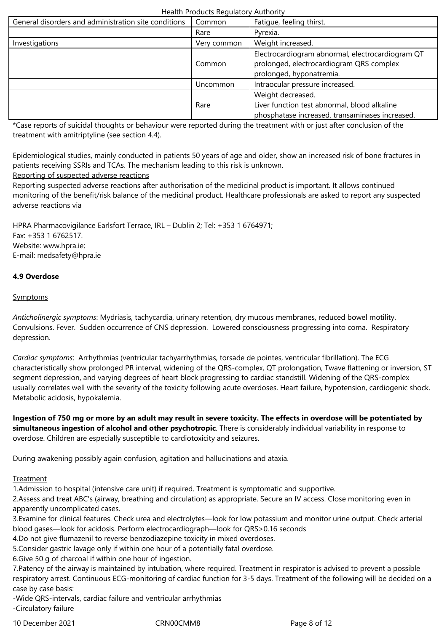| General disorders and administration site conditions | Common      | Fatigue, feeling thirst.                                                                                                 |
|------------------------------------------------------|-------------|--------------------------------------------------------------------------------------------------------------------------|
|                                                      | Rare        | Pyrexia.                                                                                                                 |
| Investigations                                       | Very common | Weight increased.                                                                                                        |
|                                                      | Common      | Electrocardiogram abnormal, electrocardiogram QT<br>prolonged, electrocardiogram QRS complex<br>prolonged, hyponatremia. |
|                                                      | Uncommon    | Intraocular pressure increased.                                                                                          |
|                                                      | Rare        | Weight decreased.<br>Liver function test abnormal, blood alkaline<br>phosphatase increased, transaminases increased.     |

\*Case reports of suicidal thoughts or behaviour were reported during the treatment with or just after conclusion of the treatment with amitriptyline (see section 4.4).

Epidemiological studies, mainly conducted in patients 50 years of age and older, show an increased risk of bone fractures in patients receiving SSRIs and TCAs. The mechanism leading to this risk is unknown.

# Reporting of suspected adverse reactions

Reporting suspected adverse reactions after authorisation of the medicinal product is important. It allows continued monitoring of the benefit/risk balance of the medicinal product. Healthcare professionals are asked to report any suspected adverse reactions via

HPRA Pharmacovigilance Earlsfort Terrace, IRL – Dublin 2; Tel: +353 1 6764971; Fax: +353 1 6762517. Website: www.hpra.ie; E-mail: medsafety@hpra.ie

# **4.9 Overdose**

# **Symptoms**

*Anticholinergic symptoms*: Mydriasis, tachycardia, urinary retention, dry mucous membranes, reduced bowel motility. Convulsions. Fever. Sudden occurrence of CNS depression. Lowered consciousness progressing into coma. Respiratory depression.

*Cardiac symptoms*: Arrhythmias (ventricular tachyarrhythmias, torsade de pointes, ventricular fibrillation). The ECG characteristically show prolonged PR interval, widening of the QRS-complex, QT prolongation, Twave flattening or inversion, ST segment depression, and varying degrees of heart block progressing to cardiac standstill. Widening of the QRS-complex usually correlates well with the severity of the toxicity following acute overdoses. Heart failure, hypotension, cardiogenic shock. Metabolic acidosis, hypokalemia.

**Ingestion of 750 mg or more by an adult may result in severe toxicity. The effects in overdose will be potentiated by simultaneous ingestion of alcohol and other psychotropic**. There is considerably individual variability in response to overdose. Children are especially susceptible to cardiotoxicity and seizures.

During awakening possibly again confusion, agitation and hallucinations and ataxia.

# **Treatment**

1.Admission to hospital (intensive care unit) if required. Treatment is symptomatic and supportive.

2.Assess and treat ABC's (airway, breathing and circulation) as appropriate. Secure an IV access. Close monitoring even in apparently uncomplicated cases.

3.Examine for clinical features. Check urea and electrolytes—look for low potassium and monitor urine output. Check arterial blood gases—look for acidosis. Perform electrocardiograph—look for QRS>0.16 seconds

4.Do not give flumazenil to reverse benzodiazepine toxicity in mixed overdoses.

5.Consider gastric lavage only if within one hour of a potentially fatal overdose.

6.Give 50 g of charcoal if within one hour of ingestion.

7.Patency of the airway is maintained by intubation, where required. Treatment in respirator is advised to prevent a possible respiratory arrest. Continuous ECG-monitoring of cardiac function for 3-5 days. Treatment of the following will be decided on a case by case basis:

-Wide QRS-intervals, cardiac failure and ventricular arrhythmias -Circulatory failure

10 December 2021 CRN00CMM8 Page 8 of 12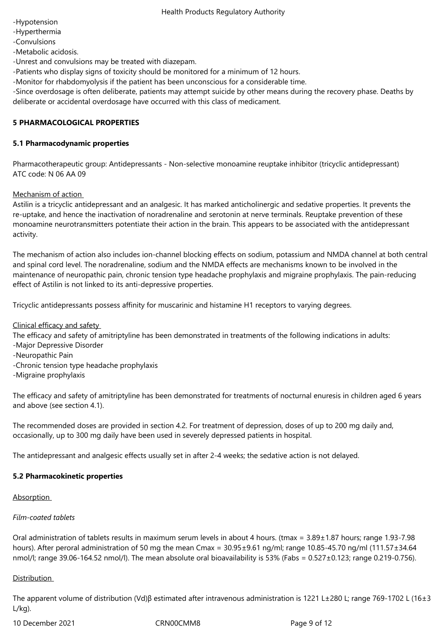-Hypotension

-Hyperthermia

-Convulsions

-Metabolic acidosis.

-Unrest and convulsions may be treated with diazepam.

-Patients who display signs of toxicity should be monitored for a minimum of 12 hours.

-Monitor for rhabdomyolysis if the patient has been unconscious for a considerable time.

-Since overdosage is often deliberate, patients may attempt suicide by other means during the recovery phase. Deaths by deliberate or accidental overdosage have occurred with this class of medicament.

## **5 PHARMACOLOGICAL PROPERTIES**

## **5.1 Pharmacodynamic properties**

Pharmacotherapeutic group: Antidepressants - Non-selective monoamine reuptake inhibitor (tricyclic antidepressant) ATC code: N 06 AA 09

Mechanism of action

Astilin is a tricyclic antidepressant and an analgesic. It has marked anticholinergic and sedative properties. It prevents the re-uptake, and hence the inactivation of noradrenaline and serotonin at nerve terminals. Reuptake prevention of these monoamine neurotransmitters potentiate their action in the brain. This appears to be associated with the antidepressant activity.

The mechanism of action also includes ion-channel blocking effects on sodium, potassium and NMDA channel at both central and spinal cord level. The noradrenaline, sodium and the NMDA effects are mechanisms known to be involved in the maintenance of neuropathic pain, chronic tension type headache prophylaxis and migraine prophylaxis. The pain-reducing effect of Astilin is not linked to its anti-depressive properties.

Tricyclic antidepressants possess affinity for muscarinic and histamine H1 receptors to varying degrees.

Clinical efficacy and safety

The efficacy and safety of amitriptyline has been demonstrated in treatments of the following indications in adults:

- -Major Depressive Disorder
- -Neuropathic Pain
- -Chronic tension type headache prophylaxis
- -Migraine prophylaxis

The efficacy and safety of amitriptyline has been demonstrated for treatments of nocturnal enuresis in children aged 6 years and above (see section 4.1).

The recommended doses are provided in section 4.2. For treatment of depression, doses of up to 200 mg daily and, occasionally, up to 300 mg daily have been used in severely depressed patients in hospital.

The antidepressant and analgesic effects usually set in after 2-4 weeks; the sedative action is not delayed.

## **5.2 Pharmacokinetic properties**

Absorption

## *Film-coated tablets*

Oral administration of tablets results in maximum serum levels in about 4 hours. (tmax = 3.89±1.87 hours; range 1.93-7.98 hours). After peroral administration of 50 mg the mean Cmax = 30.95±9.61 ng/ml; range 10.85-45.70 ng/ml (111.57±34.64 nmol/l; range 39.06-164.52 nmol/l). The mean absolute oral bioavailability is 53% (Fabs =  $0.527 \pm 0.123$ ; range 0.219-0.756).

# Distribution

The apparent volume of distribution (Vd)β estimated after intravenous administration is 1221 L±280 L; range 769-1702 L (16±3  $L/kg$ ).

10 December 2021 CRN00CMM8 Page 9 of 12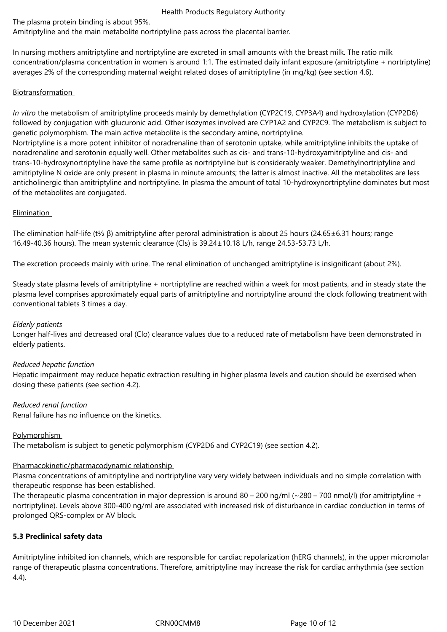The plasma protein binding is about 95%.

Amitriptyline and the main metabolite nortriptyline pass across the placental barrier.

In nursing mothers amitriptyline and nortriptyline are excreted in small amounts with the breast milk. The ratio milk concentration/plasma concentration in women is around 1:1. The estimated daily infant exposure (amitriptyline + nortriptyline) averages 2% of the corresponding maternal weight related doses of amitriptyline (in mg/kg) (see section 4.6).

# Biotransformation

*In vitro* the metabolism of amitriptyline proceeds mainly by demethylation (CYP2C19, CYP3A4) and hydroxylation (CYP2D6) followed by conjugation with glucuronic acid. Other isozymes involved are CYP1A2 and CYP2C9. The metabolism is subject to genetic polymorphism. The main active metabolite is the secondary amine, nortriptyline.

Nortriptyline is a more potent inhibitor of noradrenaline than of serotonin uptake, while amitriptyline inhibits the uptake of noradrenaline and serotonin equally well. Other metabolites such as cis- and trans-10-hydroxyamitriptyline and cis- and trans-10-hydroxynortriptyline have the same profile as nortriptyline but is considerably weaker. Demethylnortriptyline and amitriptyline N oxide are only present in plasma in minute amounts; the latter is almost inactive. All the metabolites are less anticholinergic than amitriptyline and nortriptyline. In plasma the amount of total 10-hydroxynortriptyline dominates but most of the metabolites are conjugated.

# Elimination

The elimination half-life (t½ β) amitriptyline after peroral administration is about 25 hours (24.65±6.31 hours; range 16.49-40.36 hours). The mean systemic clearance (Cls) is 39.24±10.18 L/h, range 24.53-53.73 L/h.

The excretion proceeds mainly with urine. The renal elimination of unchanged amitriptyline is insignificant (about 2%).

Steady state plasma levels of amitriptyline + nortriptyline are reached within a week for most patients, and in steady state the plasma level comprises approximately equal parts of amitriptyline and nortriptyline around the clock following treatment with conventional tablets 3 times a day.

# *Elderly patients*

Longer half-lives and decreased oral (Clo) clearance values due to a reduced rate of metabolism have been demonstrated in elderly patients.

# *Reduced hepatic function*

Hepatic impairment may reduce hepatic extraction resulting in higher plasma levels and caution should be exercised when dosing these patients (see section 4.2).

# *Reduced renal function*

Renal failure has no influence on the kinetics.

# Polymorphism

The metabolism is subject to genetic polymorphism (CYP2D6 and CYP2C19) (see section 4.2).

# Pharmacokinetic/pharmacodynamic relationship

Plasma concentrations of amitriptyline and nortriptyline vary very widely between individuals and no simple correlation with therapeutic response has been established.

The therapeutic plasma concentration in major depression is around 80 – 200 ng/ml (~280 – 700 nmol/l) (for amitriptyline + nortriptyline). Levels above 300-400 ng/ml are associated with increased risk of disturbance in cardiac conduction in terms of prolonged QRS-complex or AV block.

# **5.3 Preclinical safety data**

Amitriptyline inhibited ion channels, which are responsible for cardiac repolarization (hERG channels), in the upper micromolar range of therapeutic plasma concentrations. Therefore, amitriptyline may increase the risk for cardiac arrhythmia (see section 4.4).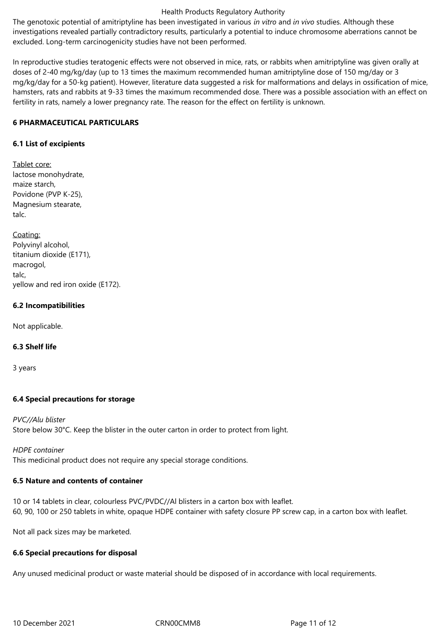The genotoxic potential of amitriptyline has been investigated in various *in vitro* and *in vivo* studies. Although these investigations revealed partially contradictory results, particularly a potential to induce chromosome aberrations cannot be excluded. Long-term carcinogenicity studies have not been performed.

In reproductive studies teratogenic effects were not observed in mice, rats, or rabbits when amitriptyline was given orally at doses of 2-40 mg/kg/day (up to 13 times the maximum recommended human amitriptyline dose of 150 mg/day or 3 mg/kg/day for a 50-kg patient). However, literature data suggested a risk for malformations and delays in ossification of mice, hamsters, rats and rabbits at 9-33 times the maximum recommended dose. There was a possible association with an effect on fertility in rats, namely a lower pregnancy rate. The reason for the effect on fertility is unknown.

## **6 PHARMACEUTICAL PARTICULARS**

## **6.1 List of excipients**

Tablet core: lactose monohydrate, maize starch, Povidone (PVP K-25), Magnesium stearate, talc.

Coating: Polyvinyl alcohol, titanium dioxide (E171), macrogol, talc, yellow and red iron oxide (E172).

## **6.2 Incompatibilities**

Not applicable.

# **6.3 Shelf life**

3 years

# **6.4 Special precautions for storage**

*PVC//Alu blister* Store below 30°C. Keep the blister in the outer carton in order to protect from light.

*HDPE container* This medicinal product does not require any special storage conditions.

## **6.5 Nature and contents of container**

10 or 14 tablets in clear, colourless PVC/PVDC//Al blisters in a carton box with leaflet. 60, 90, 100 or 250 tablets in white, opaque HDPE container with safety closure PP screw cap, in a carton box with leaflet.

Not all pack sizes may be marketed.

## **6.6 Special precautions for disposal**

Any unused medicinal product or waste material should be disposed of in accordance with local requirements.